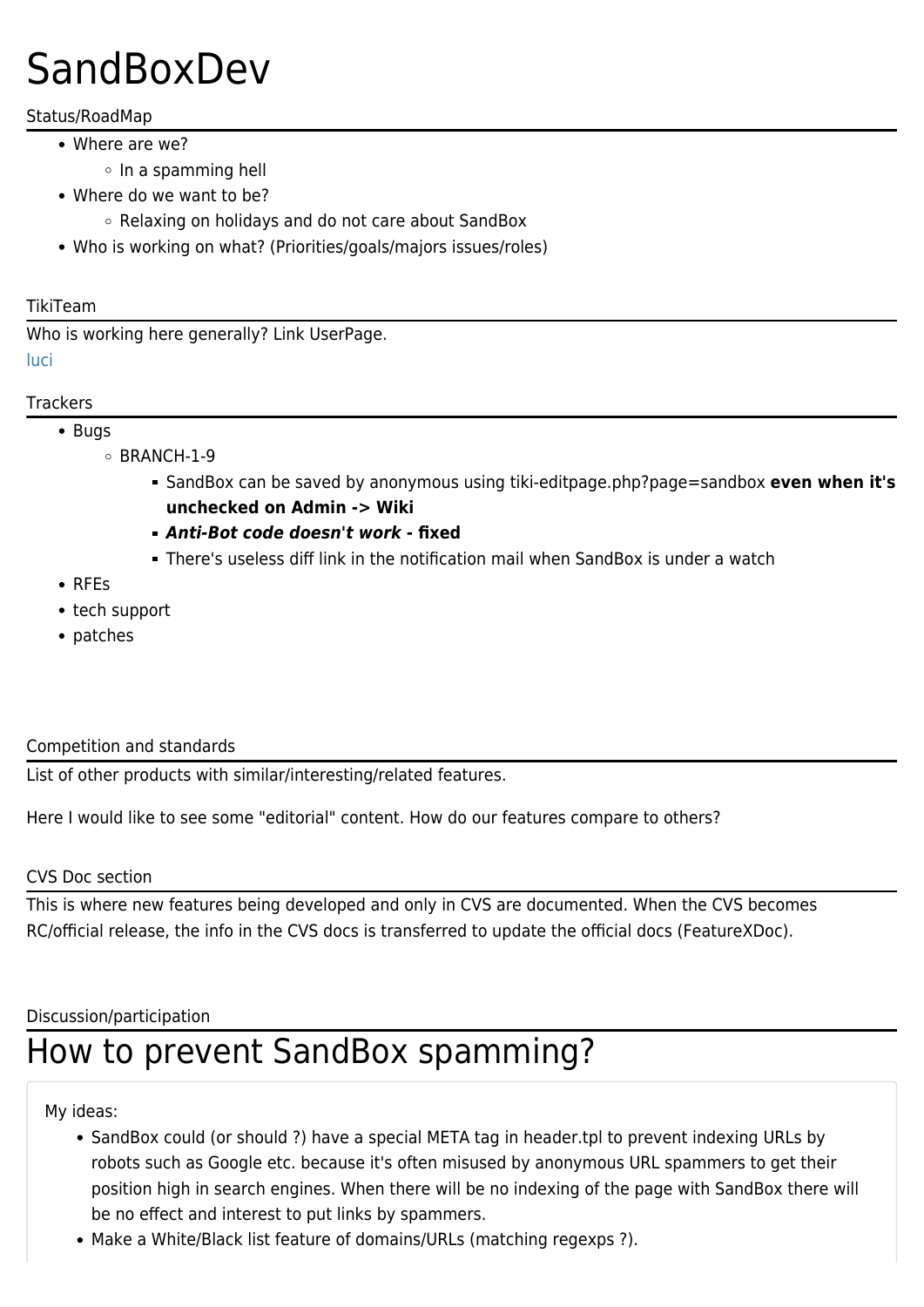# **SandBoxDev**

## Status/RoadMap

- Where are we?
	- $\circ$  In a spamming hell
- Where do we want to be?
	- Relaxing on holidays and do not care about SandBox
- Who is working on what? (Priorities/goals/majors issues/roles)

#### TikiTeam

Who is working here generally? Link UserPage. [luci](https://tiki.org/luci)

#### **Trackers**

- Bugs
	- $\circ$  BRANCH-1-9
		- SandBox can be saved by anonymous using tiki-editpage.php?page=sandbox **even when it's unchecked on Admin -> Wiki**
		- *Anti-Bot code doesn't work* **fixed**
		- There's useless diff link in the notification mail when SandBox is under a watch
- RFEs
- tech support
- patches

### Competition and standards

List of other products with similar/interesting/related features.

Here I would like to see some "editorial" content. How do our features compare to others?

### CVS Doc section

This is where new features being developed and only in CVS are documented. When the CVS becomes RC/official release, the info in the CVS docs is transferred to update the official docs (FeatureXDoc).

### Discussion/participation

# How to prevent SandBox spamming?

My ideas:

- SandBox could (or should ?) have a special META tag in header.tpl to prevent indexing URLs by robots such as Google etc. because it's often misused by anonymous URL spammers to get their position high in search engines. When there will be no indexing of the page with SandBox there will be no effect and interest to put links by spammers.
- Make a White/Black list feature of domains/URLs (matching regexps ?).